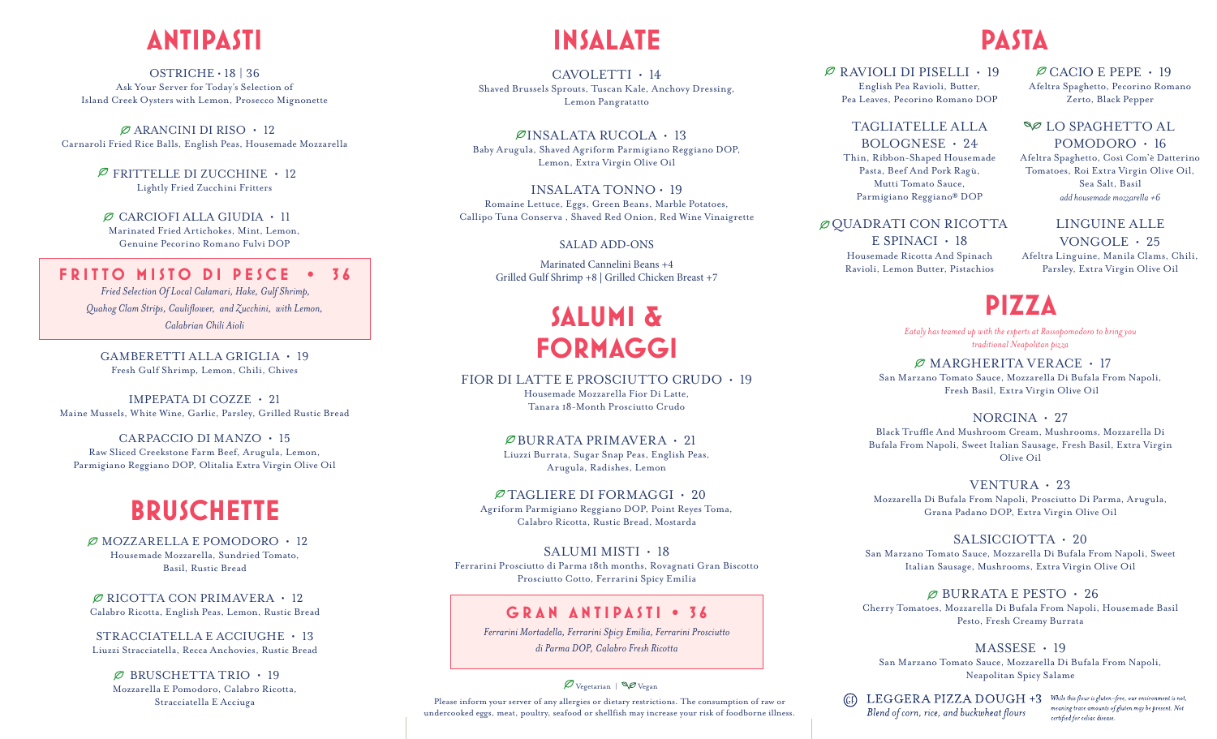## **ANTIPASTI**

OSTRICHE  $\cdot$  18 | 36 Ask Your Server for Today's Selection of Island Creek Oysters with Lemon, Prosecco Mignonette

 $\varnothing$  ARANCINI DI RISO  $\cdot$  12 Carnaroli Fried Rice Balls, English Peas, Housemade Mozzarella

> $\varnothing$  FRITTELLE DI ZUCCHINE  $\cdot$  12 Lightly Fried Zucchini Fritters

 $\varnothing$  CARCIOFI ALLA GIUDIA  $\cdot$  11 Marinated Fried Artichokes, Mint, Lemon, Genuine Pecorino Romano Fulvi DOP

## **FRITTO MISTO DI PESCE • 36**

 *Fried Selection Of Local Calamari, Hake, Gulf Shrimp, Quahog Clam Strips, Cauliflower, and Zucchini, with Lemon, Calabrian Chili Aioli*

GAMBERETTI ALLA GRIGLIA • 19 Fresh Gulf Shrimp, Lemon, Chili, Chives

IMPEPATA DI COZZE • 21 Maine Mussels, White Wine, Garlic, Parsley, Grilled Rustic Bread

CARPACCIO DI MANZO • 15 Raw Sliced Creekstone Farm Beef, Arugula, Lemon, Parmigiano Reggiano DOP, Olitalia Extra Virgin Olive Oil

## **BRUSCHETTE**

 $\varnothing$  MOZZARELLA E POMODORO  $\cdot$  12 Housemade Mozzarella, Sundried Tomato, Basil, Rustic Bread

 $\varnothing$  RICOTTA CON PRIMAVERA  $\cdot$  12 Calabro Ricotta, English Peas, Lemon, Rustic Bread

STRACCIATELLA E ACCIUGHE • 13 Liuzzi Stracciatella, Recca Anchovies, Rustic Bread

 $\varnothing$  BRUSCHETTA TRIO  $\cdot$  19 Mozzarella E Pomodoro, Calabro Ricotta, Stracciatella E Acciuga

## **INSALATE**

CAVOLETTI • 14 Shaved Brussels Sprouts, Tuscan Kale, Anchovy Dressing, Lemon Pangratatto

 $\mathcal{D}$ INSALATA RUCOLA  $\cdot$  13 Baby Arugula, Shaved Agriform Parmigiano Reggiano DOP, Lemon, Extra Virgin Olive Oil

INSALATA TONNO • 19 Romaine Lettuce, Eggs, Green Beans, Marble Potatoes, Callipo Tuna Conserva , Shaved Red Onion, Red Wine Vinaigrette

#### SALAD ADD-ONS

Marinated Cannelini Beans +4 Grilled Gulf Shrimp +8 | Grilled Chicken Breast +7

## **SALUMI & FORMAGGI**

FIOR DI LATTE E PROSCIUTTO CRUDO • 19

Housemade Mozzarella Fior Di Latte, Tanara 18-Month Prosciutto Crudo

#### $\varnothing$ BURRATA PRIMAVERA • 21

Liuzzi Burrata, Sugar Snap Peas, English Peas, Arugula, Radishes, Lemon

#### TAGLIERE DI FORMAGGI • 20 Agriform Parmigiano Reggiano DOP, Point Reyes Toma,

Calabro Ricotta, Rustic Bread, Mostarda

SALUMI MISTI • 18 Ferrarini Prosciutto di Parma 18th months, Rovagnati Gran Biscotto Prosciutto Cotto, Ferrarini Spicy Emilia

## **GRAN ANTIPASTI • 36**

*Ferrarini Mortadella, Ferrarini Spicy Emilia, Ferrarini Prosciutto di Parma DOP, Calabro Fresh Ricotta*

### $\mathscr{D}_{\text{Vegetarian}} \otimes \mathscr{D}_{\text{Vegan}}$

Please inform your server of any allergies or dietary restrictions. The consumption of raw or undercooked eggs, meat, poultry, seafood or shellfish may increase your risk of foodborne illness.

## **PASTA**

 $\varnothing$  RAVIOLI DI PISELLI • 19 English Pea Ravioli, Butter, Pea Leaves, Pecorino Romano DOP

> TAGLIATELLE ALLA BOLOGNESE • 24

Thin, Ribbon-Shaped Housemade Pasta, Beef And Pork Ragù, Mutti Tomato Sauce, Parmigiano Reggiano® DOP

## $\varnothing$  OUADRATI CON RICOTTA

E SPINACI • 18 Housemade Ricotta And Spinach Ravioli, Lemon Butter, Pistachios

 $\varnothing$  CACIO E PEPE • 19 Afeltra Spaghetto, Pecorino Romano Zerto, Black Pepper

### **SØ LO SPAGHETTO AL** POMODORO • 16

Afeltra Spaghetto, Così Com'è Datterino Tomatoes, Roi Extra Virgin Olive Oil, Sea Salt, Basil *add housemade mozzarella +6*

## LINGUINE ALLE

VONGOLE • 25 Afeltra Linguine, Manila Clams, Chili, Parsley, Extra Virgin Olive Oil

## **PIZZA**

*Eataly has teamed up with the experts at Rossopomodoro to bring you traditional Neapolitan pizza*

 $\varnothing$  MARGHERITA VERACE  $\cdot$  17 San Marzano Tomato Sauce, Mozzarella Di Bufala From Napoli,

Fresh Basil, Extra Virgin Olive Oil

## NORCINA • 27

Black Truffle And Mushroom Cream, Mushrooms, Mozzarella Di Bufala From Napoli, Sweet Italian Sausage, Fresh Basil, Extra Virgin Olive Oil

VENTURA • 23

Mozzarella Di Bufala From Napoli, Prosciutto Di Parma, Arugula, Grana Padano DOP, Extra Virgin Olive Oil

## SALSICCIOTTA • 20

San Marzano Tomato Sauce, Mozzarella Di Bufala From Napoli, Sweet Italian Sausage, Mushrooms, Extra Virgin Olive Oil

 $\varnothing$  BURRATA E PESTO  $\cdot$  26

Cherry Tomatoes, Mozzarella Di Bufala From Napoli, Housemade Basil Pesto, Fresh Creamy Burrata

#### MASSESE • 19

San Marzano Tomato Sauce, Mozzarella Di Bufala From Napoli, Neapolitan Spicy Salame

(G) LEGGERA PIZZA DOUGH +3 While this flour is gluten-free, our environment is not Blend of corn, rice, and buckwheat flours

meaning trace amounts of gluten may be present. Not certified for celiac disease.